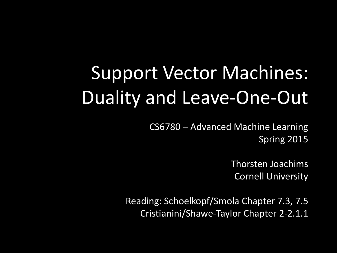# Support Vector Machines: Duality and Leave-One-Out

CS6780 – Advanced Machine Learning Spring 2015

> Thorsten Joachims Cornell University

Reading: Schoelkopf/Smola Chapter 7.3, 7.5 Cristianini/Shawe-Taylor Chapter 2-2.1.1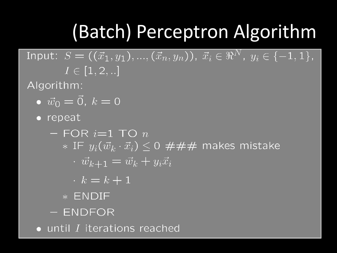# (Batch) Perceptron Algorithm

Input:  $S=((\vec{x}_1,y_1),...,(\vec{x}_n,y_n)),\ \vec{x}_i\in\Re^{N},\ y_i\in\{-1,1\},$  $I \in [1, 2, ...]$ 

Algorithm:

- $\bullet \ \vec{w}_0 = \vec{0}, k = 0$
- repeat
	- $-$  FOR  $i=1$  TO  $n$ \* IF  $y_i(\vec{w}_k \cdot \vec{x}_i) \leq 0$  ### makes mistake
		- $\cdot \vec{w}_{k+1} = \vec{w}_k + y_i \vec{x}_i$
		- $k = k + 1$
		- \* ENDIF
	- ENDFOR
- until I iterations reached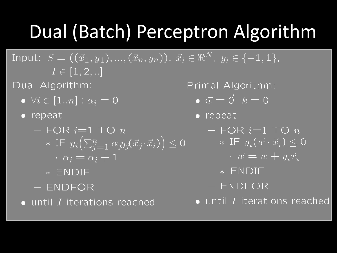## **Dual (Batch) Perceptron Algorithm**

Input:  $S = ((\vec{x}_1, y_1), ..., (\vec{x}_n, y_n)), \ \vec{x}_i \in \Re^N, \ y_i \in \{-1, 1\},$  $I \in [1, 2, ...]$ 

Dual Algorithm:

 $\bullet$   $\forall i \in \boxed{1..n} : \overline{\alpha_i} = \overline{0}$ 

 $\bullet$  repeat

 $-$  FOR  $i=1$  TO  $n$ \* IF  $y_i\left(\sum_{i=1}^n \alpha_i y_i(\vec{x}_j \cdot \vec{x}_i)\right) \leq 0$  $\alpha_i = \alpha_i + 1$ 

\* ENDIF

- ENDFOR

 $\bullet$  until  $I$  iterations reached

Primal Algorithm:

$$
\bullet \ \vec{w} = \vec{0}, \ k = 0
$$

• repeat

- $-$  FOR  $i=1$  TO  $n$ \* IF  $y_i(\vec{w} \cdot \vec{x}_i)$  < 0
	- $\vec{w} = \vec{w} + y_i \vec{x}_i$
	- \* ENDIF
- ENDFOR

 $\bullet$  until  $I$  iterations reached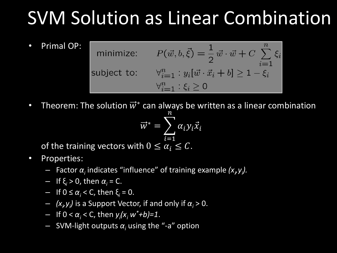## SVM Solution as Linear Combination

• Primal OP:

 $P(\vec{w}, b, \vec{\xi}) = \frac{1}{2} \vec{w} \cdot \vec{w} + C \sum_{i=1}^{n} \xi_i$ minimize: subject to:  $\forall_{i=1}^{n} : y_i[\vec{w} \cdot \vec{x}_i + b] \ge 1 - \xi_i$  $\forall_{i=1}^n : \xi_i \geq 0$ 

• Theorem: The solution  $\vec{w}^*$  can always be written as a linear combination

$$
\vec{w}^* = \sum_{i=1}^n \alpha_i y_i \vec{x}_i
$$

of the training vectors with  $0 \leq \alpha_i \leq C$ .

- Properties:
	- $-$  Factor  $\alpha$ <sub>*i*</sub> indicates "influence" of training example (x<sub>*<sup><i>i*</sup></sub>y<sub>*i*</sub>).</sub>
	- If ξ*<sup>i</sup>* > 0, then *α<sup>i</sup>* = C.
	- $-$  If 0 ≤ α<sup>*i*</sup> < C, then ξ<sup>*i*</sup> = 0.
	- $(x_i, y_i)$  is a Support Vector, if and only if  $\alpha_i > 0$ .
	- If 0 < *α<sup>i</sup>* < C, then *y<sup>i</sup> (x<sup>i</sup> w\*+b)=1*.
	- SVM-light outputs *α<sup>i</sup>* using the "-a" option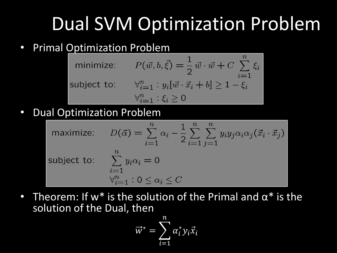## Dual SVM Optimization Problem

#### • Primal Optimization Problem

minimize: 
$$
P(\vec{w}, b, \vec{\xi}) = \frac{1}{2} \vec{w} \cdot \vec{w} + C \sum_{i=1}^{n} \xi_i
$$
  
subject to:  $\forall_{i=1}^{n} : y_i[\vec{w} \cdot \vec{x}_i + b] \ge 1 - \xi_i$   
 $\forall_{i=1}^{n} : \xi_i \ge 0$ 

• Dual Optimization Problem

maximize: 
$$
D(\vec{\alpha}) = \sum_{i=1}^{n} \alpha_i - \frac{1}{2} \sum_{i=1}^{n} \sum_{j=1}^{n} y_i y_j \alpha_i \alpha_j (\vec{x}_i \cdot \vec{x}_j)
$$
  
subject to: 
$$
\sum_{\substack{i=1 \ \forall i=1}}^{n} y_i \alpha_i = 0
$$

$$
\forall_{i=1}^{n} : 0 \le \alpha_i \le C
$$

• Theorem: If w<sup>\*</sup> is the solution of the Primal and  $\alpha^*$  is the solution of the Dual, then

$$
\vec{w}^* = \sum_{i=1}^n \alpha_i^* y_i \vec{x}_i
$$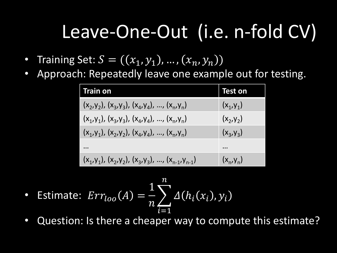## Leave-One-Out (i.e. n-fold CV)

- Training Set:  $S = ((x_1, y_1), ..., (x_n, y_n))$
- Approach: Repeatedly leave one example out for testing.

| <b>Train on</b>                                         | Test on      |
|---------------------------------------------------------|--------------|
| $(x_2,y_2)$ , $(x_3,y_3)$ , $(x_4,y_4)$ , , $(x_n,y_n)$ | $(X_1, Y_1)$ |
| $(x_1, y_1), (x_3, y_3), (x_4, y_4), , (x_n, y_n)$      | $(x_2, y_2)$ |
| $(x_1,y_1), (x_2,y_2), (x_4,y_4), , (x_n,y_n)$          | $(x_3, y_3)$ |
|                                                         |              |
| $(x_1,y_1), (x_2,y_2), (x_3,y_3), , (x_{n-1},y_{n-1})$  | $(x_n, y_n)$ |

- Estimate:  $Err_{loo}(A) =$ 1  $\overline{n}$  $\sum_i \Delta(h_i(x_i), y_i)$  $\overline{n}$  $i=1$
- Question: Is there a cheaper way to compute this estimate?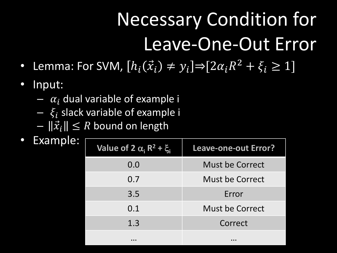# Necessary Condition for Leave-One-Out Error

- Lemma: For SVM,  $[h_i(\vec{x}_i) \neq y_i] \Rightarrow [2\alpha_i R^2 + \xi_i \geq 1]$
- Input:
	- $\alpha_i$  dual variable of example i
	- $\xi_i$  slack variable of example i
	- $-\left\| \vec{x}_i \right\| \leq R$  bound on length
- Example:

| Value of 2 $\alpha_i$ R <sup>2</sup> + $\xi_i$ | <b>Leave-one-out Error?</b> |  |
|------------------------------------------------|-----------------------------|--|
| 0.0                                            | Must be Correct             |  |
| 0.7                                            | Must be Correct             |  |
| 3.5                                            | Error                       |  |
| 0.1                                            | Must be Correct             |  |
| 1.3                                            | Correct                     |  |
|                                                |                             |  |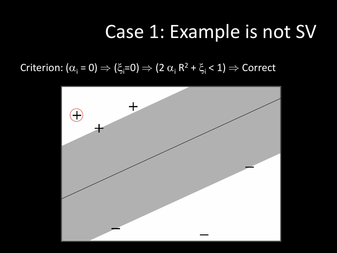### Case 1: Example is not SV

### Criterion: ( $\alpha_{\sf i}$  = 0)  $\Rightarrow$  ( $\xi_{\sf i}$ =0)  $\Rightarrow$  (2  $\alpha_{\sf i}$  R<sup>2</sup> +  $\xi_{\sf i}$  < 1)  $\Rightarrow$  Correct

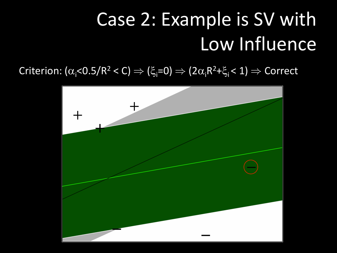# Case 2: Example is SV with Low Influence

Criterion: ( $\alpha_{\sf i}$ <0.5/R $^2$  < C)  $\Rightarrow$  ( $\xi_{\sf i}$ =0)  $\Rightarrow$  (2 $\alpha_{\sf i}$ R $^2$ + $\xi_{\sf i}$ < 1)  $\Rightarrow$  Correct

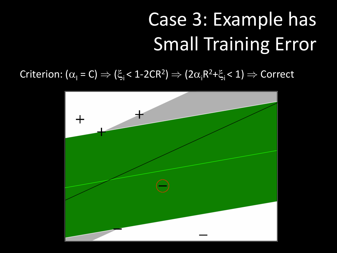# Case 3: Example has Small Training Error

Criterion: ( $\alpha_{\text{l}} = C$ )  $\Rightarrow$  ( $\xi_{\text{i}}$  < 1-2CR<sup>2</sup>)  $\Rightarrow$  (2 $\alpha_{\text{i}}$ R<sup>2</sup>+ $\xi_{\text{i}}$  < 1)  $\Rightarrow$  Correct

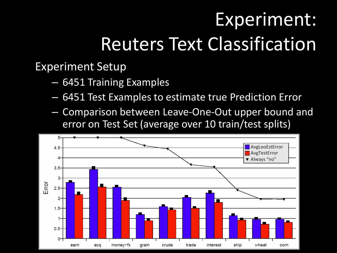# Experiment: Reuters Text Classification

Experiment Setup

- 6451 Training Examples
- 6451 Test Examples to estimate true Prediction Error
- Comparison between Leave-One-Out upper bound and error on Test Set (average over 10 train/test splits)